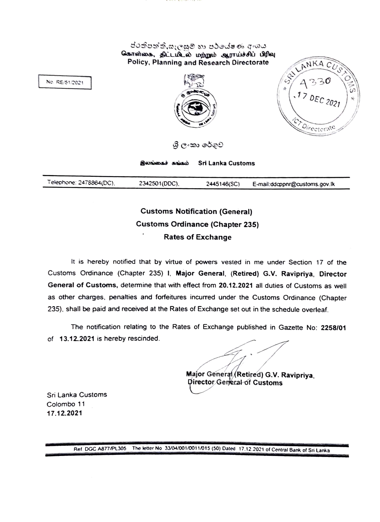ජරත්පත්ති,සැලසුම් හා පර්යේෂණ අංශය கொள்கை, திட்டமிடல் மற்றும் ஆராய்ச்சிப் பிரிவு Policy, Planning and Research Directorate



ශී ලංකා රේගුව

இலங்கைச் கங்கம் Sri **Lanla** Customs

Telephone: 2478864(DC), 2342501 (DDC), 2445146 (SC) E-mail:ddcppnr@customs.gov.lk

## **Customs Notification (General) Customs Ordinance (Chapter 235) Rates of Exchange**

It is hereby notified that by virtue of powers vested in me under Section 17 of the Customs Ordinance (Chapter 235) I, **Major General. (Retired) G.V. Ravipriya, Director General of Customs,** determine that with effect from **20.12.2021** all duties of Customs as well as other charges. penalties and forfeitures incurred under the Customs Ordinance (Chapter 235). shall be paid and received at the Rates of Exchange set out in the schedule overleaf.

The notification relating to the Rates of Exchange published in Gazette No: 2258/01 of **13.12.2021** is hereby rescinded.

**Major General Retired) G.V. Ravipriya** 

<sup>~</sup> **Director General of Customs** 

Sri Lanka Customs Colombo 11 **17.12..2021** 

Ref. DGC A877/PL305 The letter No. 33/04/001/0011/015 (50) Dated 17.12.2021 of Central Bank of Sri Lanka

No. RE/51/2021